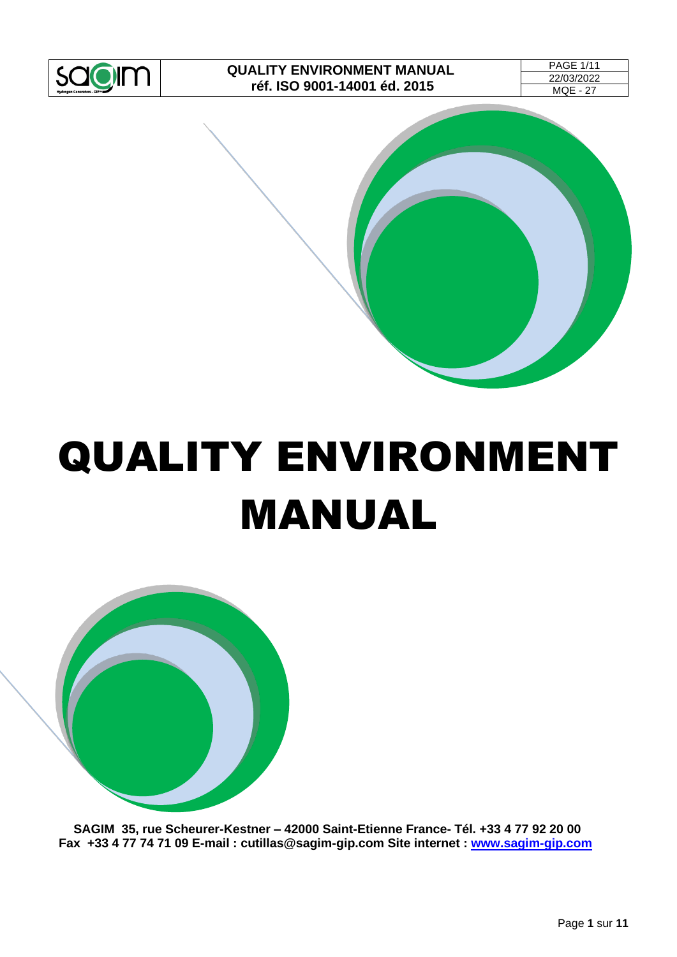

| <b>PAGE 1/11</b> |  |
|------------------|--|
| 22/03/2022       |  |
| MQE - 27         |  |



# QUALITY ENVIRONMENT MANUAL



**SAGIM 35, rue Scheurer-Kestner – 42000 Saint-Etienne France- Tél. +33 4 77 92 20 00 Fax +33 4 77 74 71 09 E-mail : cutillas@sagim-gip.com Site internet : [www.sagim-gip.com](http://www.sagim-gip.com/)**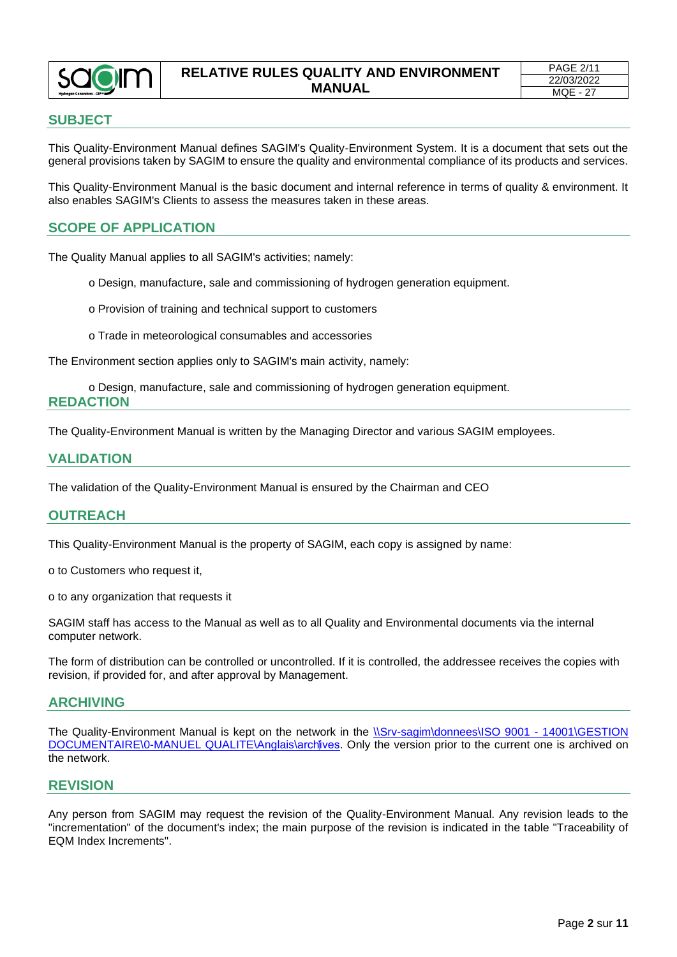

#### **RELATIVE RULES QUALITY AND ENVIRONMENT MANUAL**

## <span id="page-1-0"></span>**SUBJECT**

This Quality-Environment Manual defines SAGIM's Quality-Environment System. It is a document that sets out the general provisions taken by SAGIM to ensure the quality and environmental compliance of its products and services.

This Quality-Environment Manual is the basic document and internal reference in terms of quality & environment. It also enables SAGIM's Clients to assess the measures taken in these areas.

## <span id="page-1-1"></span>**SCOPE OF APPLICATION**

The Quality Manual applies to all SAGIM's activities; namely:

- o Design, manufacture, sale and commissioning of hydrogen generation equipment.
- o Provision of training and technical support to customers
- o Trade in meteorological consumables and accessories

The Environment section applies only to SAGIM's main activity, namely:

<span id="page-1-2"></span>o Design, manufacture, sale and commissioning of hydrogen generation equipment. **REDACTION**

The Quality-Environment Manual is written by the Managing Director and various SAGIM employees.

#### <span id="page-1-3"></span>**VALIDATION**

The validation of the Quality-Environment Manual is ensured by the Chairman and CEO

#### <span id="page-1-4"></span>**OUTREACH**

This Quality-Environment Manual is the property of SAGIM, each copy is assigned by name:

o to Customers who request it,

o to any organization that requests it

SAGIM staff has access to the Manual as well as to all Quality and Environmental documents via the internal computer network.

The form of distribution can be controlled or uncontrolled. If it is controlled, the addressee receives the copies with revision, if provided for, and after approval by Management.

#### <span id="page-1-5"></span>**ARCHIVING**

The Quality-Environment Manual is kept on the network in the [\\Srv-sagim\donnees\ISO 9001 -](file://///Srv-sagim/donnees/ISO%209001%20-%2014001/GESTION%20DOCUMENTAIRE/0-MANUEL%20QUALITE/Anglais/arch⁬ives) 14001\GESTION [DOCUMENTAIRE\0-MANUEL QUALITE\Anglais\archives.](file://///Srv-sagim/donnees/ISO%209001%20-%2014001/GESTION%20DOCUMENTAIRE/0-MANUEL%20QUALITE/Anglais/arch⁬ives) Only the version prior to the current one is archived on the network.

#### <span id="page-1-6"></span>**REVISION**

Any person from SAGIM may request the revision of the Quality-Environment Manual. Any revision leads to the "incrementation" of the document's index; the main purpose of the revision is indicated in the table "Traceability of EQM Index Increments".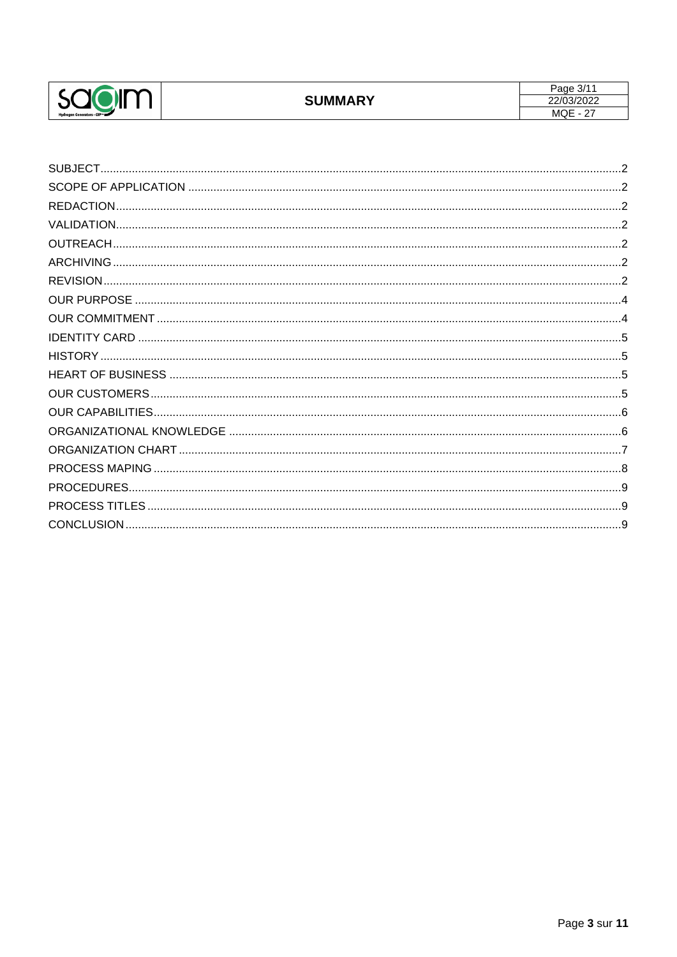

| SUBJECT            |
|--------------------|
|                    |
| <b>REDACTION</b>   |
|                    |
|                    |
|                    |
|                    |
| <b>OUR PURPOSE</b> |
|                    |
|                    |
|                    |
|                    |
|                    |
|                    |
|                    |
|                    |
|                    |
| PROCEDURES.        |
|                    |
|                    |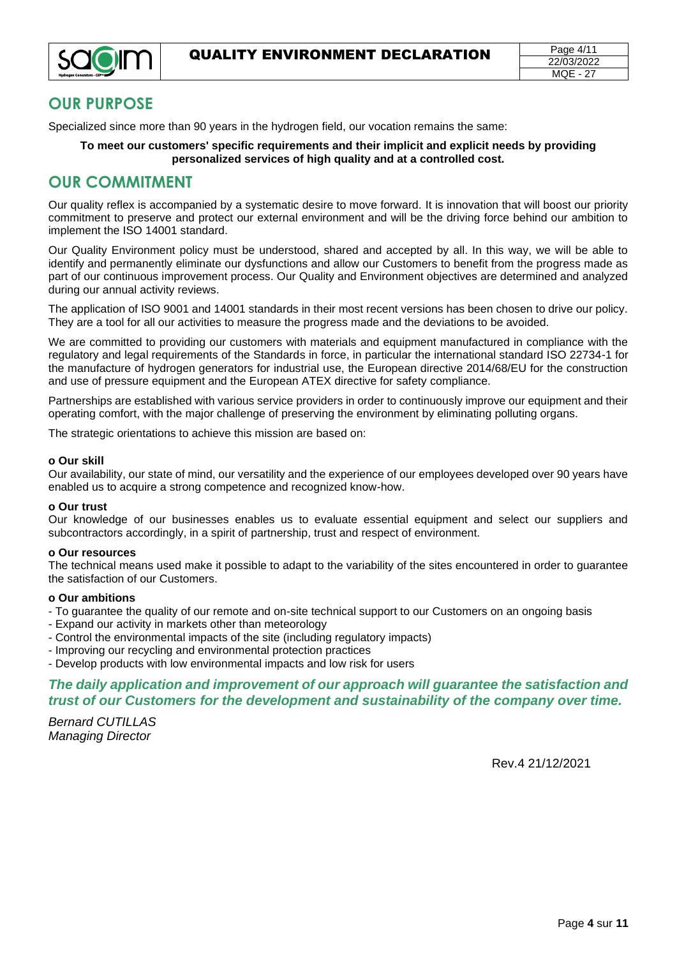

# <span id="page-3-0"></span>**OUR PURPOSE**

Specialized since more than 90 years in the hydrogen field, our vocation remains the same:

#### **To meet our customers' specific requirements and their implicit and explicit needs by providing personalized services of high quality and at a controlled cost.**

# <span id="page-3-1"></span>**OUR COMMITMENT**

Our quality reflex is accompanied by a systematic desire to move forward. It is innovation that will boost our priority commitment to preserve and protect our external environment and will be the driving force behind our ambition to implement the ISO 14001 standard.

Our Quality Environment policy must be understood, shared and accepted by all. In this way, we will be able to identify and permanently eliminate our dysfunctions and allow our Customers to benefit from the progress made as part of our continuous improvement process. Our Quality and Environment objectives are determined and analyzed during our annual activity reviews.

The application of ISO 9001 and 14001 standards in their most recent versions has been chosen to drive our policy. They are a tool for all our activities to measure the progress made and the deviations to be avoided.

We are committed to providing our customers with materials and equipment manufactured in compliance with the regulatory and legal requirements of the Standards in force, in particular the international standard ISO 22734-1 for the manufacture of hydrogen generators for industrial use, the European directive 2014/68/EU for the construction and use of pressure equipment and the European ATEX directive for safety compliance.

Partnerships are established with various service providers in order to continuously improve our equipment and their operating comfort, with the major challenge of preserving the environment by eliminating polluting organs.

The strategic orientations to achieve this mission are based on:

#### **o Our skill**

Our availability, our state of mind, our versatility and the experience of our employees developed over 90 years have enabled us to acquire a strong competence and recognized know-how.

#### **o Our trust**

Our knowledge of our businesses enables us to evaluate essential equipment and select our suppliers and subcontractors accordingly, in a spirit of partnership, trust and respect of environment.

#### **o Our resources**

The technical means used make it possible to adapt to the variability of the sites encountered in order to guarantee the satisfaction of our Customers.

#### **o Our ambitions**

- To guarantee the quality of our remote and on-site technical support to our Customers on an ongoing basis
- Expand our activity in markets other than meteorology
- Control the environmental impacts of the site (including regulatory impacts)
- Improving our recycling and environmental protection practices
- Develop products with low environmental impacts and low risk for users

#### *The daily application and improvement of our approach will guarantee the satisfaction and trust of our Customers for the development and sustainability of the company over time.*

*Bernard CUTILLAS Managing Director* 

Rev.4 21/12/2021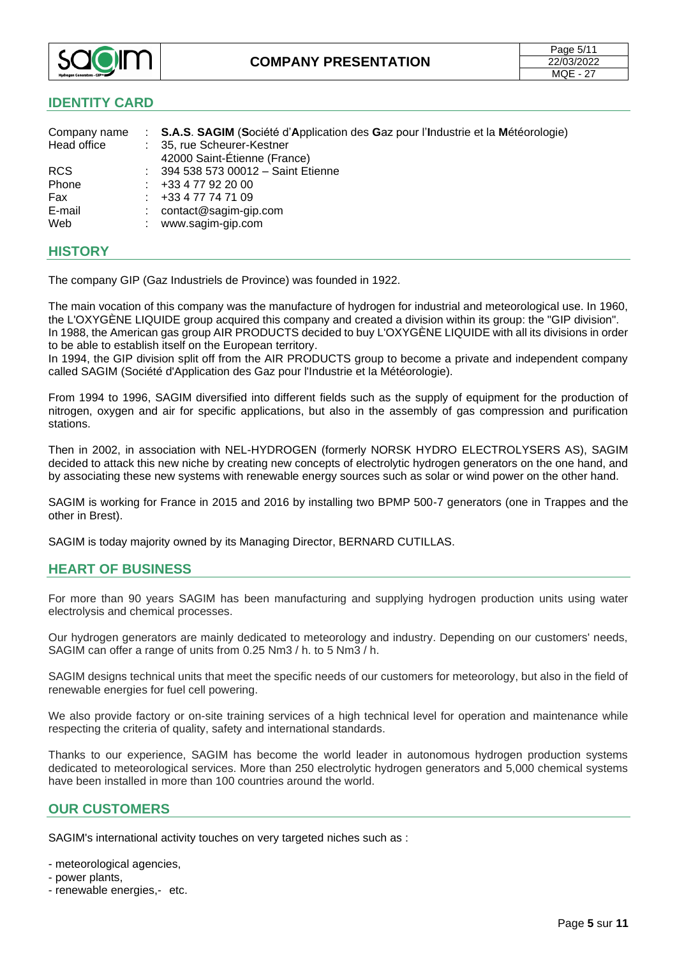

#### <span id="page-4-0"></span>**IDENTITY CARD**

| Company name<br>Head office | : S.A.S. SAGIM (Société d'Application des Gaz pour l'Industrie et la Météorologie)<br>: 35, rue Scheurer-Kestner<br>42000 Saint-Étienne (France) |
|-----------------------------|--------------------------------------------------------------------------------------------------------------------------------------------------|
| <b>RCS</b>                  | : 394 538 573 00012 - Saint Etienne                                                                                                              |
| Phone                       | +33 4 77 92 20 00                                                                                                                                |
| Fax                         | +33 4 77 74 71 09                                                                                                                                |
| E-mail                      | contact@sagim-gip.com                                                                                                                            |
| Web                         | www.sagim-gip.com                                                                                                                                |

#### <span id="page-4-1"></span>**HISTORY**

The company GIP (Gaz Industriels de Province) was founded in 1922.

The main vocation of this company was the manufacture of hydrogen for industrial and meteorological use. In 1960, the L'OXYGÈNE LIQUIDE group acquired this company and created a division within its group: the "GIP division". In 1988, the American gas group AIR PRODUCTS decided to buy L'OXYGÈNE LIQUIDE with all its divisions in order to be able to establish itself on the European territory.

In 1994, the GIP division split off from the AIR PRODUCTS group to become a private and independent company called SAGIM (Société d'Application des Gaz pour l'Industrie et la Météorologie).

From 1994 to 1996, SAGIM diversified into different fields such as the supply of equipment for the production of nitrogen, oxygen and air for specific applications, but also in the assembly of gas compression and purification stations.

Then in 2002, in association with NEL-HYDROGEN (formerly NORSK HYDRO ELECTROLYSERS AS), SAGIM decided to attack this new niche by creating new concepts of electrolytic hydrogen generators on the one hand, and by associating these new systems with renewable energy sources such as solar or wind power on the other hand.

SAGIM is working for France in 2015 and 2016 by installing two BPMP 500-7 generators (one in Trappes and the other in Brest).

SAGIM is today majority owned by its Managing Director, BERNARD CUTILLAS.

#### <span id="page-4-2"></span>**HEART OF BUSINESS**

For more than 90 years SAGIM has been manufacturing and supplying hydrogen production units using water electrolysis and chemical processes.

Our hydrogen generators are mainly dedicated to meteorology and industry. Depending on our customers' needs, SAGIM can offer a range of units from 0.25 Nm3 / h. to 5 Nm3 / h.

SAGIM designs technical units that meet the specific needs of our customers for meteorology, but also in the field of renewable energies for fuel cell powering.

We also provide factory or on-site training services of a high technical level for operation and maintenance while respecting the criteria of quality, safety and international standards.

Thanks to our experience, SAGIM has become the world leader in autonomous hydrogen production systems dedicated to meteorological services. More than 250 electrolytic hydrogen generators and 5,000 chemical systems have been installed in more than 100 countries around the world.

#### <span id="page-4-3"></span>**OUR CUSTOMERS**

SAGIM's international activity touches on very targeted niches such as :

- meteorological agencies,

- power plants,
- renewable energies,- etc.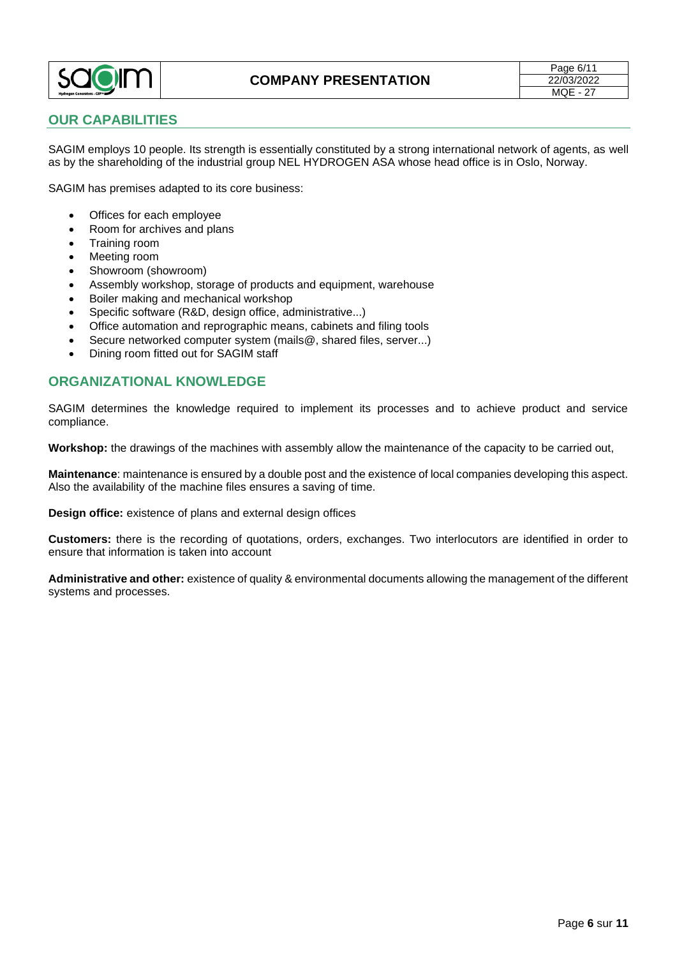

#### <span id="page-5-0"></span>**OUR CAPABILITIES**

SAGIM employs 10 people. Its strength is essentially constituted by a strong international network of agents, as well as by the shareholding of the industrial group NEL HYDROGEN ASA whose head office is in Oslo, Norway.

SAGIM has premises adapted to its core business:

- Offices for each employee
- Room for archives and plans
- Training room
- Meeting room
- Showroom (showroom)
- Assembly workshop, storage of products and equipment, warehouse
- Boiler making and mechanical workshop
- Specific software (R&D, design office, administrative...)
- Office automation and reprographic means, cabinets and filing tools
- Secure networked computer system (mails@, shared files, server...)
- Dining room fitted out for SAGIM staff

#### <span id="page-5-1"></span>**ORGANIZATIONAL KNOWLEDGE**

SAGIM determines the knowledge required to implement its processes and to achieve product and service compliance.

**Workshop:** the drawings of the machines with assembly allow the maintenance of the capacity to be carried out,

**Maintenance**: maintenance is ensured by a double post and the existence of local companies developing this aspect. Also the availability of the machine files ensures a saving of time.

**Design office:** existence of plans and external design offices

**Customers:** there is the recording of quotations, orders, exchanges. Two interlocutors are identified in order to ensure that information is taken into account

**Administrative and other:** existence of quality & environmental documents allowing the management of the different systems and processes.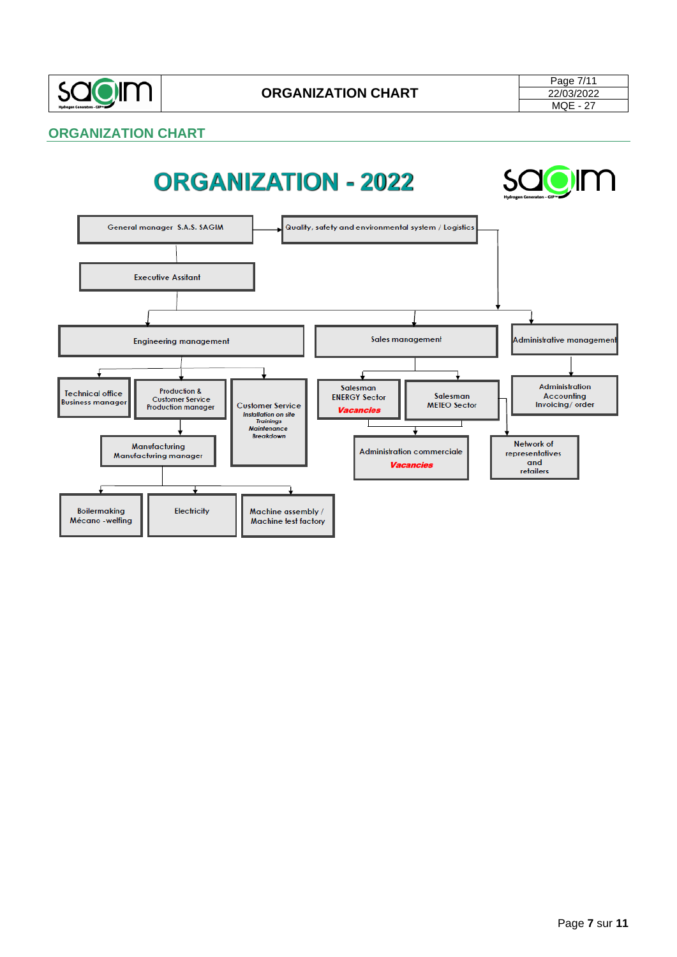

# <span id="page-6-0"></span>**ORGANIZATION CHART**

# **ORGANIZATION - 2022**



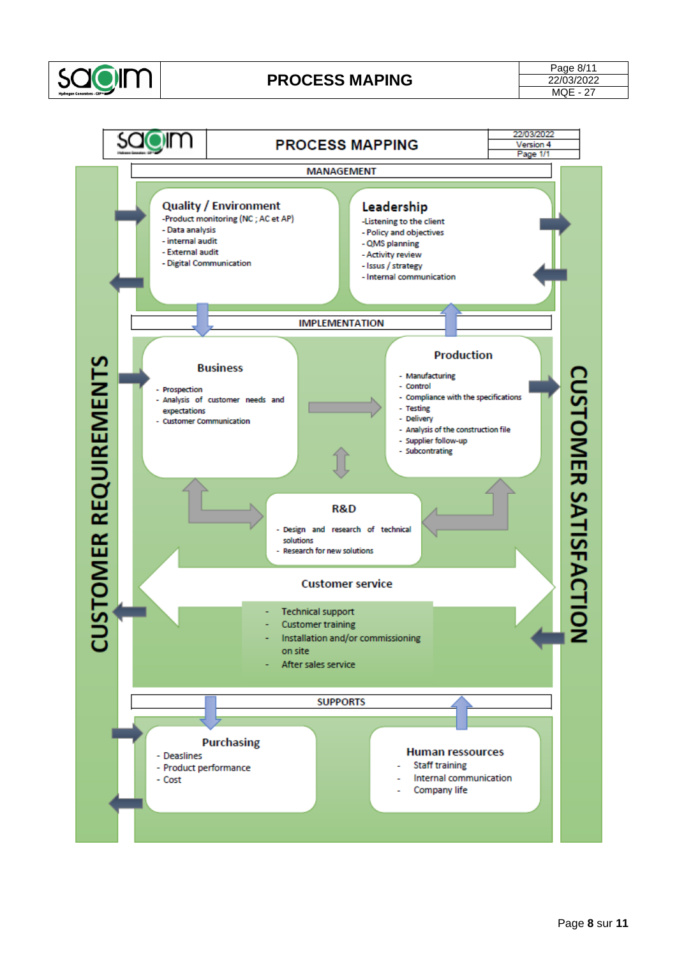

# <span id="page-7-0"></span>**PROCESS MAPING**

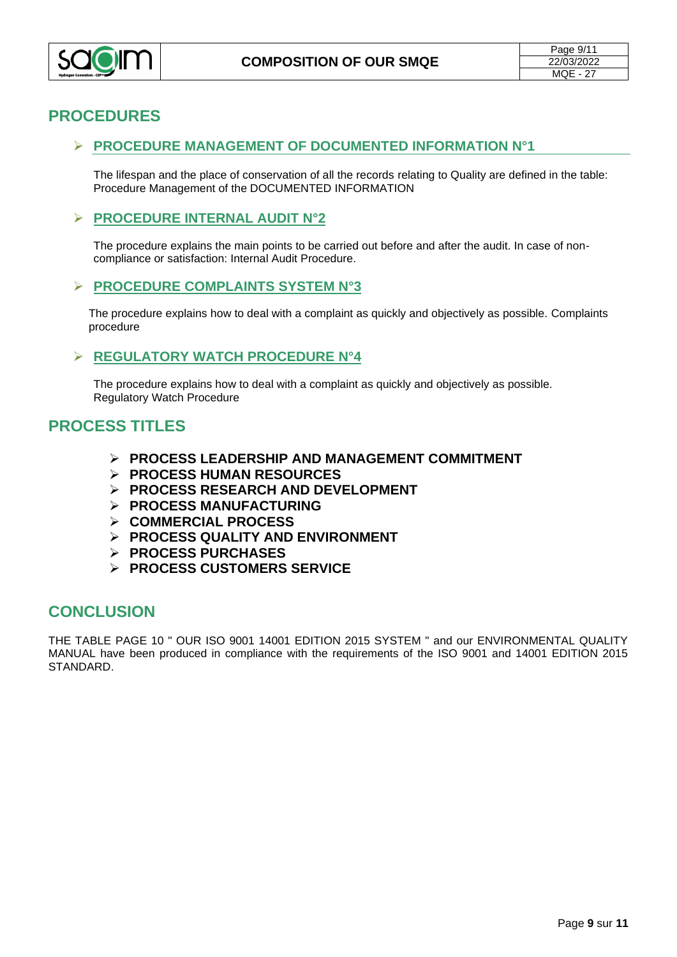

# <span id="page-8-0"></span>**PROCEDURES**

#### ➢ **PROCEDURE MANAGEMENT OF DOCUMENTED INFORMATION N°1**

The lifespan and the place of conservation of all the records relating to Quality are defined in the table: Procedure Management of the DOCUMENTED INFORMATION

#### ➢ **PROCEDURE INTERNAL AUDIT N°2**

The procedure explains the main points to be carried out before and after the audit. In case of noncompliance or satisfaction: Internal Audit Procedure.

#### ➢ **PROCEDURE COMPLAINTS SYSTEM N°3**

The procedure explains how to deal with a complaint as quickly and objectively as possible. Complaints procedure

#### ➢ **REGULATORY WATCH PROCEDURE N°4**

The procedure explains how to deal with a complaint as quickly and objectively as possible. Regulatory Watch Procedure

# <span id="page-8-1"></span>**PROCESS TITLES**

- ➢ **[PROCESS](file://///Srv-sagim/donnees/ISO%209001%20-%2014001/Processus/Fiches%20processus/Processus%20Leadership%20et%20engagement%20rev.7%20%5b02-12-2019%5d.docx) LEADERSHIP AND MANAGEMENT COMMITMENT**
- ➢ **[PROCESS HUMAN RESOURCES](file://///SRV-SAGIM/DONNEES/ISO%209001%20-%2014001/Processus/Fiches%20processus/Processus%20Ressources%20Humaines%20rev.%2010%20%5b24-06-2019%5d.pptx)**
- ➢ **PROCESS RESEARCH AND DEVELOPMENT**
- ➢ **[PROCESS MANUFACTURING](file://///SRV-SAGIM/DONNEES/ISO%209001%20-%2014001/Processus/Fiches%20processus/Processus%20Fabrication%20rev.%206%20%5b24-06-2019%5d.pptx)**
- ➢ **[COMMERCIAL](file://///SRV-SAGIM/DONNEES/ISO%209001%20-%2014001/Processus/Fiches%20processus/Processus%20Commercial%20rev.%206%20%5b24-06-2019%5d.pptx) PROCESS**
- ➢ **[PROCESS](file://///SRV-SAGIM/DONNEES/ISO%209001%20-%2014001/Processus/Fiches%20processus/Processus%20Amélioration%20rev.%208%20%5b23-07-2019%5d.pptx) QUALITY AND ENVIRONMENT**
- ➢ **PROCESS [PURCHASES](file://///SRV-SAGIM/DONNEES/ISO%209001%20-%2014001/Processus/Fiches%20processus/Processus%20Achats%20rev.%207%20%5b24-06-2019%5d.pptx)**
- ➢ **[PROCESS CUSTOMERS SERVICE](file://///SRV-SAGIM/DONNEES/ISO%209001%20-%2014001/Processus/Fiches%20processus/Processus%20Service%20Clients%20rev.%206%20%5b24-06-2019%5d.pptx)**

# <span id="page-8-2"></span>**CONCLUSION**

THE TABLE PAGE 10 " OUR ISO 9001 14001 EDITION 2015 SYSTEM " and our ENVIRONMENTAL QUALITY MANUAL have been produced in compliance with the requirements of the ISO 9001 and 14001 EDITION 2015 STANDARD.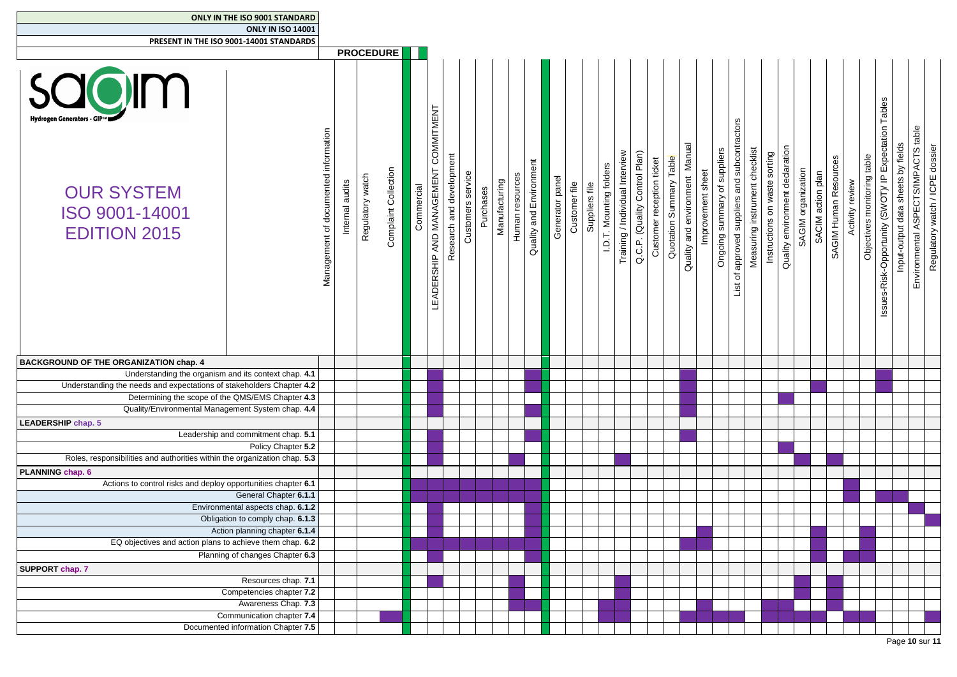| <b>ONLY IN THE ISO 9001 STANDARD</b><br><b>ONLY IN ISO 14001</b>                         |                                      |                                        |                      |            |                                            |                          |                   |           |               |                 |                         |                    |               |                |                         |                                 |                                                            |                         |                                      |                   |                              |                                                       |                                |                                  |                                 |                                         |                       |                 |                             |                                                       |                                                                           |                                 |
|------------------------------------------------------------------------------------------|--------------------------------------|----------------------------------------|----------------------|------------|--------------------------------------------|--------------------------|-------------------|-----------|---------------|-----------------|-------------------------|--------------------|---------------|----------------|-------------------------|---------------------------------|------------------------------------------------------------|-------------------------|--------------------------------------|-------------------|------------------------------|-------------------------------------------------------|--------------------------------|----------------------------------|---------------------------------|-----------------------------------------|-----------------------|-----------------|-----------------------------|-------------------------------------------------------|---------------------------------------------------------------------------|---------------------------------|
| PRESENT IN THE ISO 9001-14001 STANDARDS                                                  |                                      |                                        |                      |            |                                            |                          |                   |           |               |                 |                         |                    |               |                |                         |                                 |                                                            |                         |                                      |                   |                              |                                                       |                                |                                  |                                 |                                         |                       |                 |                             |                                                       |                                                                           |                                 |
|                                                                                          |                                      | <b>PROCEDURE</b>                       |                      |            |                                            |                          |                   |           |               |                 |                         |                    |               |                |                         |                                 |                                                            |                         |                                      |                   |                              |                                                       |                                |                                  |                                 |                                         |                       |                 |                             |                                                       |                                                                           |                                 |
| Hydrogen Generators - GIP™<br><b>OUR SYSTEM</b><br>ISO 9001-14001<br><b>EDITION 2015</b> | Management of documented information | watch<br>Internal audits<br>Regulatory | Complaint Collection | Commercial | COMMITMENT<br>AND MANAGEMENT<br>LEADERSHIP | Research and development | Customers service | Purchases | Manufacturing | Human resources | Quality and Environment | panel<br>Generator | Customer file | €<br>Suppliers | I.D.T. Mounting folders | Training / Individual Interview | Q.C.P. (Quality Control Plan)<br>Customer reception ticket | Quotation Summary Table | environment Manual<br>and<br>Quality | Improvement sheet | Ongoing summary of suppliers | and subcontractors<br>approved suppliers<br>đ<br>List | Measuring instrument checklist | on waste sorting<br>Instructions | Quality environment declaration | SAGIM organization<br>SACIM action plan | SAGIM Human Resources | Activity review | Objectives monitoring table | Issues-Risk-Opportunity (SWOT)/ IP Expectation Tables | Environmental ASPECTS/IMPACTS table<br>Input-output data sheets by fields | Regulatory watch / ICPE dossier |
| <b>BACKGROUND OF THE ORGANIZATION chap. 4</b>                                            |                                      |                                        |                      |            |                                            |                          |                   |           |               |                 |                         |                    |               |                |                         |                                 |                                                            |                         |                                      |                   |                              |                                                       |                                |                                  |                                 |                                         |                       |                 |                             |                                                       |                                                                           |                                 |
| Understanding the organism and its context chap. 4.1                                     |                                      |                                        |                      |            |                                            |                          |                   |           |               |                 |                         |                    |               |                |                         |                                 |                                                            |                         |                                      |                   |                              |                                                       |                                |                                  |                                 |                                         |                       |                 |                             |                                                       |                                                                           |                                 |
| Understanding the needs and expectations of stakeholders Chapter 4.2                     |                                      |                                        |                      |            |                                            |                          |                   |           |               |                 |                         |                    |               |                |                         |                                 |                                                            |                         |                                      |                   |                              |                                                       |                                |                                  |                                 |                                         |                       |                 |                             |                                                       |                                                                           |                                 |
| Determining the scope of the QMS/EMS Chapter 4.3                                         |                                      |                                        |                      |            |                                            |                          |                   |           |               |                 |                         |                    |               |                |                         |                                 |                                                            |                         |                                      |                   |                              |                                                       |                                |                                  |                                 |                                         |                       |                 |                             |                                                       |                                                                           |                                 |
| Quality/Environmental Management System chap. 4.4                                        |                                      |                                        |                      |            |                                            |                          |                   |           |               |                 |                         |                    |               |                |                         |                                 |                                                            |                         |                                      |                   |                              |                                                       |                                |                                  |                                 |                                         |                       |                 |                             |                                                       |                                                                           |                                 |
|                                                                                          |                                      |                                        |                      |            |                                            |                          |                   |           |               |                 |                         |                    |               |                |                         |                                 |                                                            |                         |                                      |                   |                              |                                                       |                                |                                  |                                 |                                         |                       |                 |                             |                                                       |                                                                           |                                 |
| <b>LEADERSHIP chap. 5</b>                                                                |                                      |                                        |                      |            |                                            |                          |                   |           |               |                 |                         |                    |               |                |                         |                                 |                                                            |                         |                                      |                   |                              |                                                       |                                |                                  |                                 |                                         |                       |                 |                             |                                                       |                                                                           |                                 |
| Leadership and commitment chap. 5.1                                                      |                                      |                                        |                      |            |                                            |                          |                   |           |               |                 |                         |                    |               |                |                         |                                 |                                                            |                         |                                      |                   |                              |                                                       |                                |                                  |                                 |                                         |                       |                 |                             |                                                       |                                                                           |                                 |
| Policy Chapter 5.2                                                                       |                                      |                                        |                      |            |                                            |                          |                   |           |               |                 |                         |                    |               |                |                         |                                 |                                                            |                         |                                      |                   |                              |                                                       |                                |                                  |                                 |                                         |                       |                 |                             |                                                       |                                                                           |                                 |
| Roles, responsibilities and authorities within the organization chap. 5.3                |                                      |                                        |                      |            |                                            |                          |                   |           |               |                 |                         |                    |               |                |                         |                                 |                                                            |                         |                                      |                   |                              |                                                       |                                |                                  |                                 |                                         |                       |                 |                             |                                                       |                                                                           |                                 |
| <b>PLANNING chap. 6</b>                                                                  |                                      |                                        |                      |            |                                            |                          |                   |           |               |                 |                         |                    |               |                |                         |                                 |                                                            |                         |                                      |                   |                              |                                                       |                                |                                  |                                 |                                         |                       |                 |                             |                                                       |                                                                           |                                 |
| Actions to control risks and deploy opportunities chapter 6.1                            |                                      |                                        |                      |            |                                            |                          |                   |           |               |                 |                         |                    |               |                |                         |                                 |                                                            |                         |                                      |                   |                              |                                                       |                                |                                  |                                 |                                         |                       |                 |                             |                                                       |                                                                           |                                 |
| General Chapter 6.1.1                                                                    |                                      |                                        |                      |            |                                            |                          |                   |           |               |                 |                         |                    |               |                |                         |                                 |                                                            |                         |                                      |                   |                              |                                                       |                                |                                  |                                 |                                         |                       |                 |                             |                                                       |                                                                           |                                 |
| Environmental aspects chap. 6.1.2                                                        |                                      |                                        |                      |            |                                            |                          |                   |           |               |                 |                         |                    |               |                |                         |                                 |                                                            |                         |                                      |                   |                              |                                                       |                                |                                  |                                 |                                         |                       |                 |                             |                                                       |                                                                           |                                 |
| Obligation to comply chap. 6.1.3                                                         |                                      |                                        |                      |            |                                            |                          |                   |           |               |                 |                         |                    |               |                |                         |                                 |                                                            |                         |                                      |                   |                              |                                                       |                                |                                  |                                 |                                         |                       |                 |                             |                                                       |                                                                           |                                 |
| Action planning chapter 6.1.4                                                            |                                      |                                        |                      |            |                                            |                          |                   |           |               |                 |                         |                    |               |                |                         |                                 |                                                            |                         |                                      |                   |                              |                                                       |                                |                                  |                                 |                                         |                       |                 |                             |                                                       |                                                                           |                                 |
| EQ objectives and action plans to achieve them chap. 6.2                                 |                                      |                                        |                      |            |                                            |                          |                   |           |               |                 |                         |                    |               |                |                         |                                 |                                                            |                         |                                      |                   |                              |                                                       |                                |                                  |                                 |                                         |                       |                 |                             |                                                       |                                                                           |                                 |
| Planning of changes Chapter 6.3                                                          |                                      |                                        |                      |            |                                            |                          |                   |           |               |                 |                         |                    |               |                |                         |                                 |                                                            |                         |                                      |                   |                              |                                                       |                                |                                  |                                 |                                         |                       |                 |                             |                                                       |                                                                           |                                 |
| <b>SUPPORT chap. 7</b>                                                                   |                                      |                                        |                      |            |                                            |                          |                   |           |               |                 |                         |                    |               |                |                         |                                 |                                                            |                         |                                      |                   |                              |                                                       |                                |                                  |                                 |                                         |                       |                 |                             |                                                       |                                                                           |                                 |
| Resources chap. 7.1                                                                      |                                      |                                        |                      |            |                                            |                          |                   |           |               |                 |                         |                    |               |                |                         |                                 |                                                            |                         |                                      |                   |                              |                                                       |                                |                                  |                                 |                                         |                       |                 |                             |                                                       |                                                                           |                                 |
|                                                                                          |                                      |                                        |                      |            |                                            |                          |                   |           |               |                 |                         |                    |               |                |                         |                                 |                                                            |                         |                                      |                   |                              |                                                       |                                |                                  |                                 |                                         |                       |                 |                             |                                                       |                                                                           |                                 |
| Competencies chapter 7.2                                                                 |                                      |                                        |                      |            |                                            |                          |                   |           |               |                 |                         |                    |               |                |                         |                                 |                                                            |                         |                                      |                   |                              |                                                       |                                |                                  |                                 |                                         |                       |                 |                             |                                                       |                                                                           |                                 |
| Awareness Chap. 7.3                                                                      |                                      |                                        |                      |            |                                            |                          |                   |           |               |                 |                         |                    |               |                |                         |                                 |                                                            |                         |                                      |                   |                              |                                                       |                                |                                  |                                 |                                         |                       |                 |                             |                                                       |                                                                           |                                 |
| Communication chapter 7.4                                                                |                                      |                                        |                      |            |                                            |                          |                   |           |               |                 |                         |                    |               |                |                         |                                 |                                                            |                         |                                      |                   |                              |                                                       |                                |                                  |                                 |                                         |                       |                 |                             |                                                       |                                                                           |                                 |
| Documented information Chapter 7.5                                                       |                                      |                                        |                      |            |                                            |                          |                   |           |               |                 |                         |                    |               |                |                         |                                 |                                                            |                         |                                      |                   |                              |                                                       |                                |                                  |                                 |                                         |                       |                 |                             |                                                       |                                                                           |                                 |
|                                                                                          |                                      |                                        |                      |            |                                            |                          |                   |           |               |                 |                         |                    |               |                |                         |                                 |                                                            |                         |                                      |                   |                              |                                                       |                                |                                  |                                 |                                         |                       |                 |                             |                                                       |                                                                           | Page 10 sur 11                  |